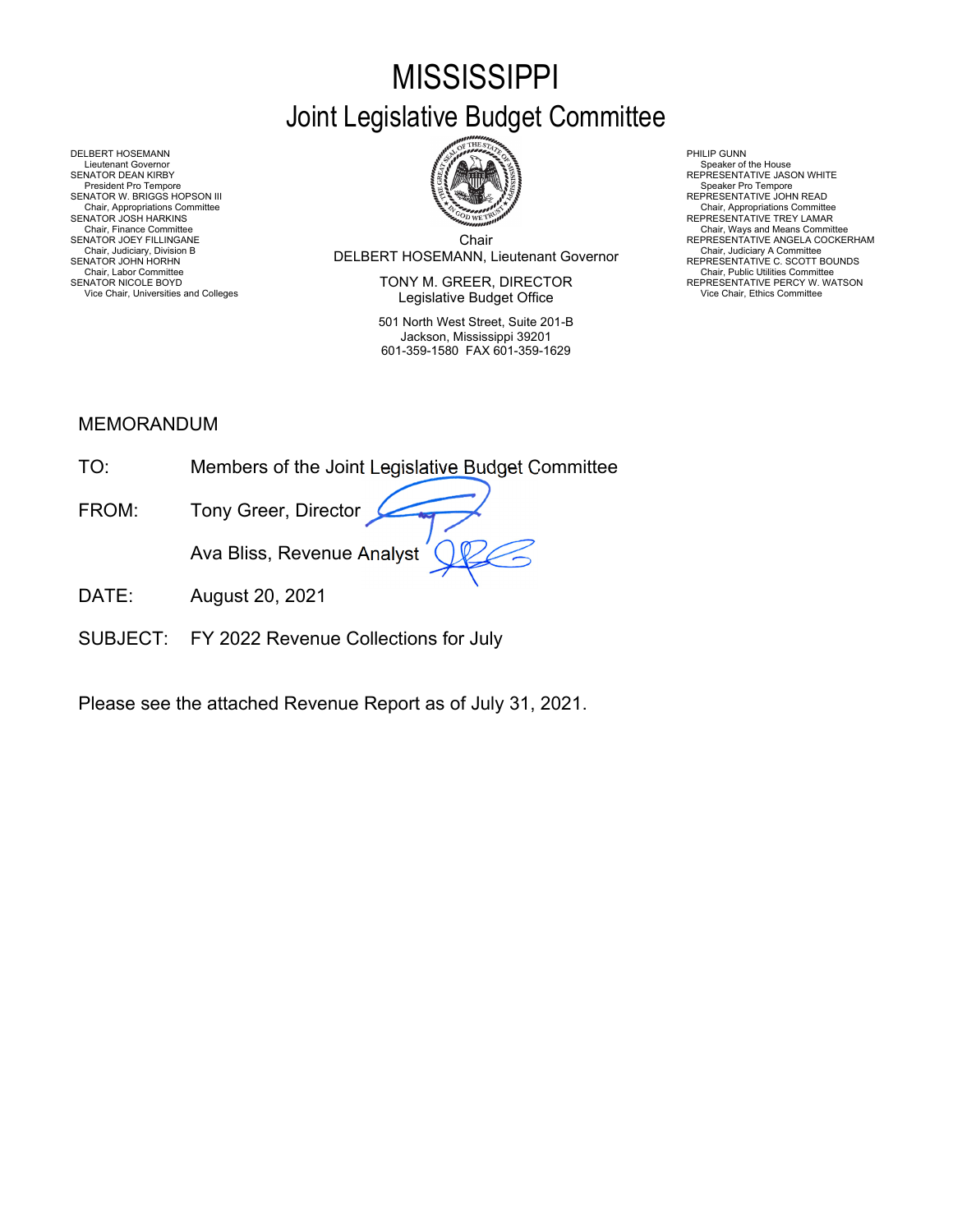# **MISSISSIPPI**

# Joint Legislative Budget Committee



Chair DELBERT HOSEMANN, Lieutenant Governor Chair, Judiciary, Division B Chair, Judiciary A Committee SENATOR JOHN HORHN REPRESENTATIVE C. SCOTT BOUNDS Chair, Finance Committee **Chair Chair, Ways and Means Committee Committee Chair**<br>SENATOR JOEY FILLINGANE REPRESENTATIVE ANGELA COCKERHAM

SENATOR NICOLE BOYD **EXECTOR EXECUTOR SENATOR IN EXECTOR** TO REPRESENTATIVE PERCY W. WATSON Vice Chair, Universities and Colleges **Vice Chair, Ethics Committee Vice Chair, Ethics Committee Vice Chair**, Ethics Committee

> 501 North West Street, Suite 201-B Jackson, Mississippi 39201 601-359-1580 FAX 601-359-1629

DELBERT HOSEMANN PHILIP GUNN<br>Lieutenant Governor Speaker of Speaker of Speaker of Speaker of Speaker of Speaker of Speaker of Speaker of Sp Lieutenant Governor (Symbolic Lieutenant Governor Speaker of the House (Symbolic Lieutenant Governor Speaker of the House Speaker of the House Speaker of the House Speaker of the House (Symbolic Lieutenant VE Jason WHITE ) SENATOR W. BRIGGS HOPSON III CHEERE SENATOR W. BRIGGS HOPSON III CHEERE SENATOR W. BRIGGS HOPSON III<br>Chair, Appropriations Committee Chair, Appropriations Committee Chair, Appropriations Committee Chair, Appropriations Com Chair, Appropriations Committee Chair, Appropriations Committee المستخدمة المستخدمة المستخدمة المستخدمة المستخدمة المستخدمة المستخدمة المستخدمة المستخدمة المستخدمة المستخدمة المستخدمة المستخدمة المستخدمة المستخدمة المستخد Chair, Judiciary Atomities Chair, Judiciary Atomities Chair, Judiciary Atomities Chair, Chair, Chair, Chair, Chair, Chair, Chair, Chair, Chair, Chair, Uniciary Atomities Chair, Labor Committee Chair, Labor Chair, Labor Com

# MEMORANDUM

| TO:                        | Members of the Joint Legislative Budget Committee |
|----------------------------|---------------------------------------------------|
| FROM:                      | Tony Greer, Director                              |
|                            | Ava Bliss, Revenue Analyst                        |
| $\overline{\mathsf{DATF}}$ | August 20, 2021                                   |

SUBJECT: FY 2022 Revenue Collections for July

Please see the attached Revenue Report as of July 31, 2021.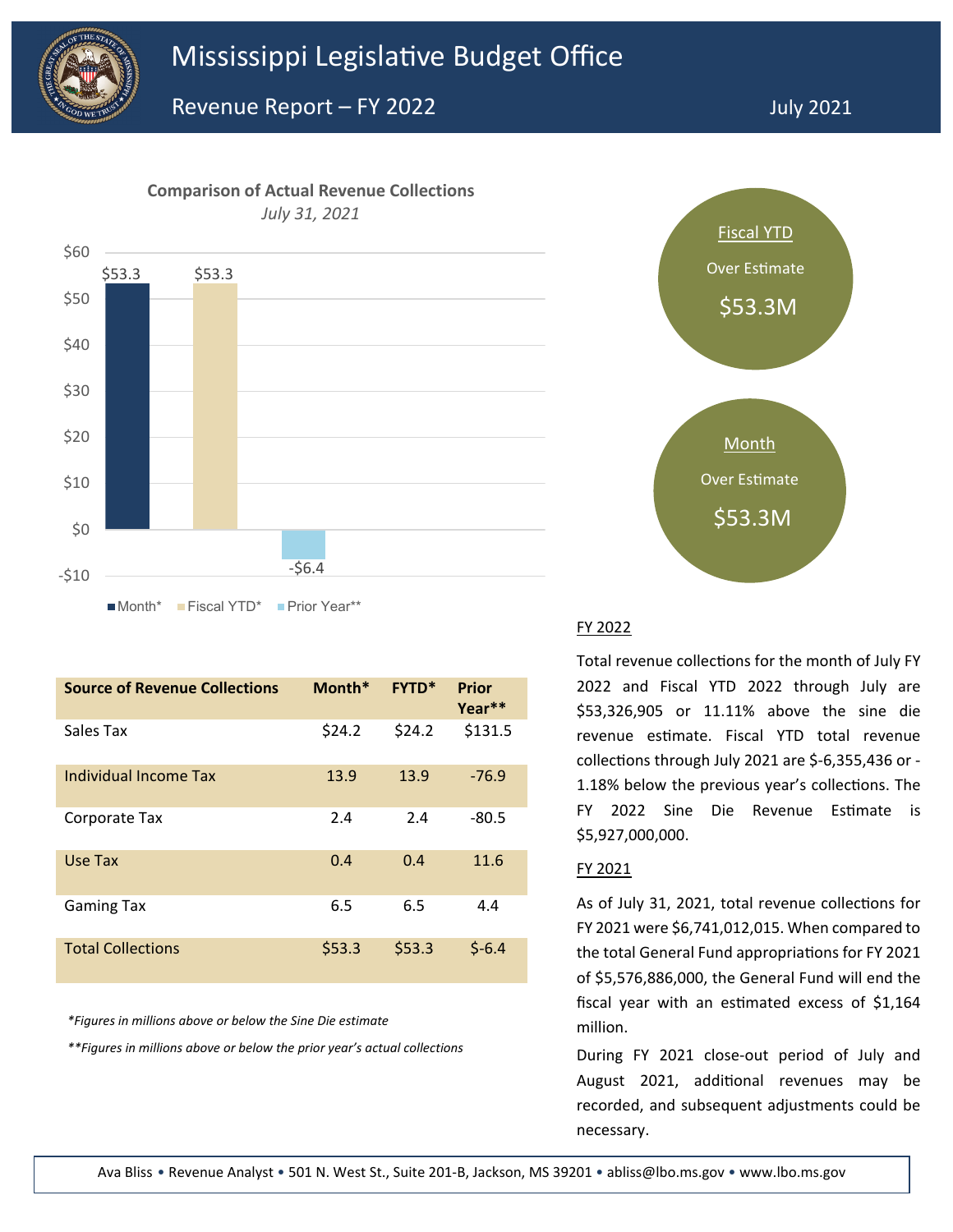

## **Comparison of Actual Revenue Collections** *July 31, 2021*



| <b>Source of Revenue Collections</b> | Month* | <b>FYTD*</b> | Prior<br>Year** |
|--------------------------------------|--------|--------------|-----------------|
| Sales Tax                            | \$24.2 | \$24.2       | \$131.5         |
| Individual Income Tax                | 13.9   | 13.9         | $-76.9$         |
| Corporate Tax                        | 2.4    | 2.4          | $-80.5$         |
| Use Tax                              | 0.4    | 0.4          | 11.6            |
| <b>Gaming Tax</b>                    | 6.5    | 6.5          | 4.4             |
| <b>Total Collections</b>             | \$53.3 | \$53.3       | $$-6.4$         |

*\*Figures in millions above or below the Sine Die estimate*

*\*\*Figures in millions above or below the prior year's actual collections*



### FY 2022

Total revenue collections for the month of July FY 2022 and Fiscal YTD 2022 through July are \$53,326,905 or 11.11% above the sine die revenue estimate. Fiscal YTD total revenue collections through July 2021 are \$-6,355,436 or -1.18% below the previous year's collections. The FY 2022 Sine Die Revenue Estimate is \$5,927,000,000.

#### FY 2021

As of July 31, 2021, total revenue collections for FY 2021 were \$6,741,012,015. When compared to the total General Fund appropriations for FY 2021 of \$5,576,886,000, the General Fund will end the fiscal year with an estimated excess of \$1,164 million.

During FY 2021 close-out period of July and August 2021, additional revenues may be recorded, and subsequent adjustments could be necessary.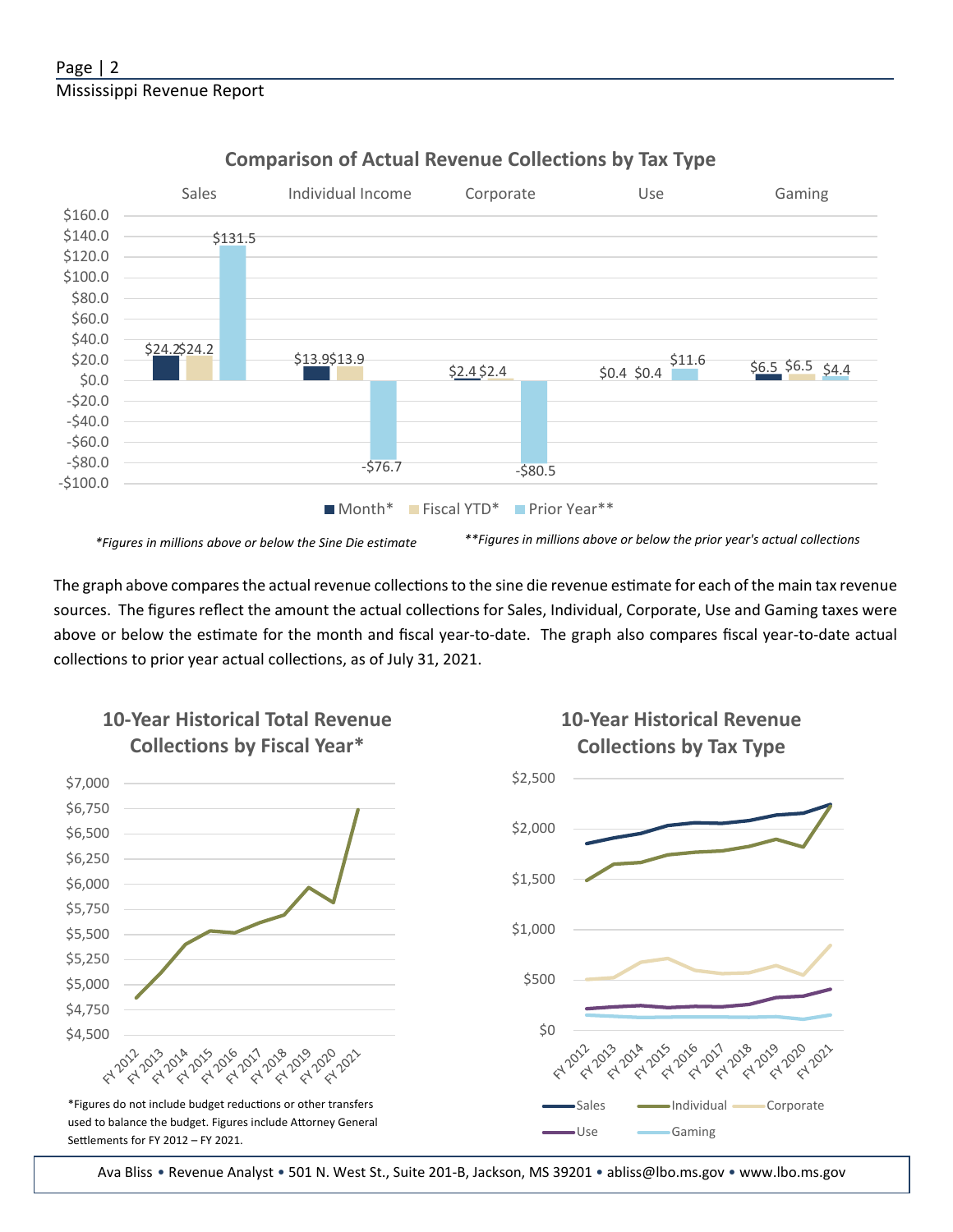

# **Comparison of Actual Revenue Collections by Tax Type**

The graph above compares the actual revenue collections to the sine die revenue estimate for each of the main tax revenue sources. The figures reflect the amount the actual collections for Sales, Individual, Corporate, Use and Gaming taxes were above or below the estimate for the month and fiscal year-to-date. The graph also compares fiscal year-to-date actual collections to prior year actual collections, as of July 31, 2021.



Ava Bliss • Revenue Analyst • 501 N. West St., Suite 201-B, Jackson, MS 39201 • abliss@lbo.ms.gov • www.lbo.ms.gov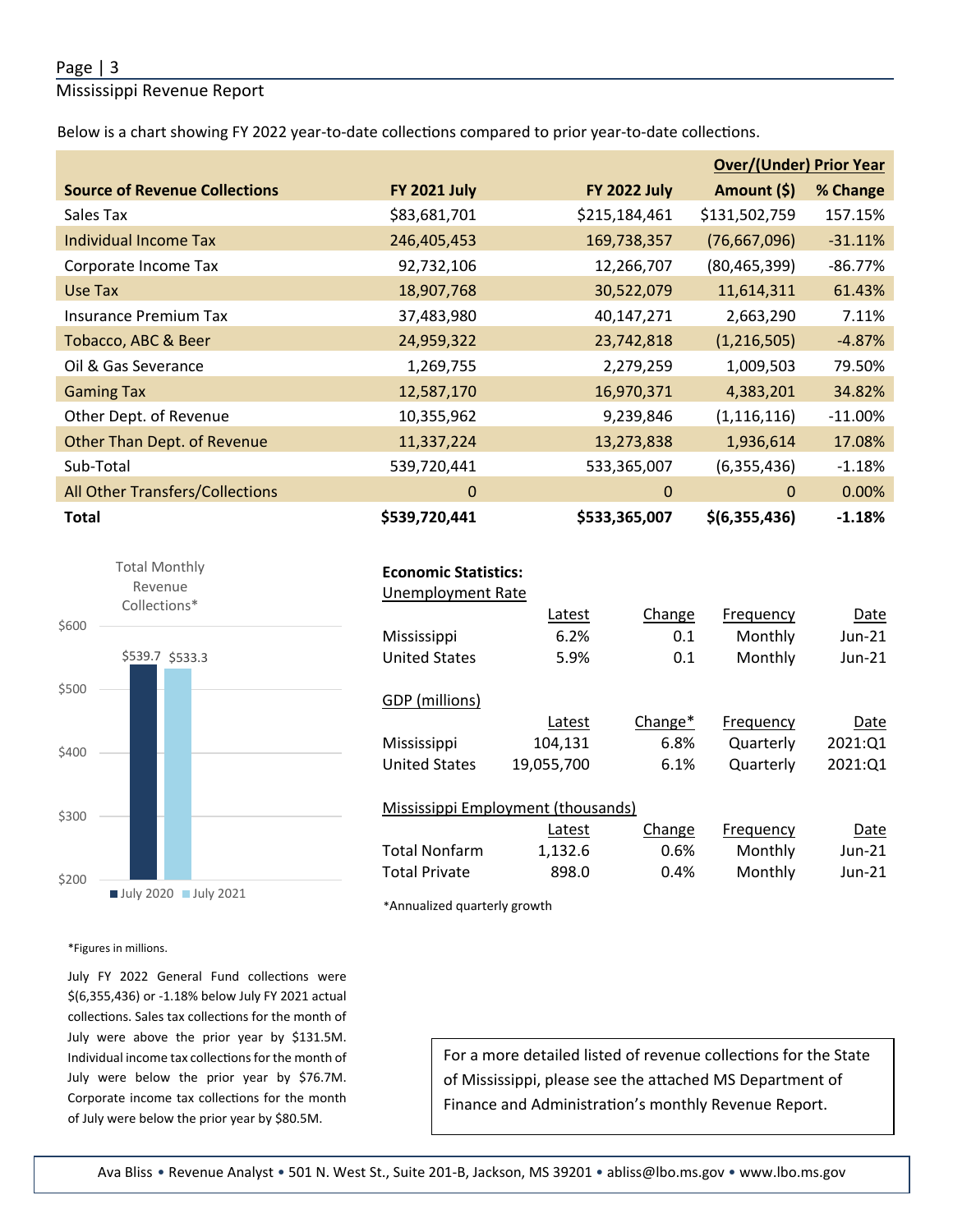#### Page | 3

#### Mississippi Revenue Report

Below is a chart showing FY 2022 year-to-date collections compared to prior year-to-date collections.

|                                      |                     |                     | <b>Over/(Under) Prior Year</b> |           |  |  |
|--------------------------------------|---------------------|---------------------|--------------------------------|-----------|--|--|
| <b>Source of Revenue Collections</b> | <b>FY 2021 July</b> | <b>FY 2022 July</b> | Amount (\$)                    | % Change  |  |  |
| Sales Tax                            | \$83,681,701        | \$215,184,461       | \$131,502,759                  | 157.15%   |  |  |
| Individual Income Tax                | 246,405,453         | 169,738,357         | (76,667,096)                   | $-31.11%$ |  |  |
| Corporate Income Tax                 | 92,732,106          | 12,266,707          | (80, 465, 399)                 | $-86.77%$ |  |  |
| Use Tax                              | 18,907,768          | 30,522,079          | 11,614,311                     | 61.43%    |  |  |
| <b>Insurance Premium Tax</b>         | 37,483,980          | 40,147,271          | 2,663,290                      | 7.11%     |  |  |
| Tobacco, ABC & Beer                  | 24,959,322          | 23,742,818          | (1,216,505)                    | $-4.87%$  |  |  |
| Oil & Gas Severance                  | 1,269,755           | 2,279,259           | 1,009,503                      | 79.50%    |  |  |
| <b>Gaming Tax</b>                    | 12,587,170          | 16,970,371          | 4,383,201                      | 34.82%    |  |  |
| Other Dept. of Revenue               | 10,355,962          | 9,239,846           | (1, 116, 116)                  | $-11.00%$ |  |  |
| Other Than Dept. of Revenue          | 11,337,224          | 13,273,838          | 1,936,614                      | 17.08%    |  |  |
| Sub-Total                            | 539,720,441         | 533,365,007         | (6,355,436)                    | $-1.18%$  |  |  |
| All Other Transfers/Collections      | $\mathbf{0}$        | 0                   | $\mathbf{0}$                   | 0.00%     |  |  |
| <b>Total</b>                         | \$539,720,441       | \$533,365,007       | \$(6,355,436)                  | $-1.18%$  |  |  |



#### **Economic Statistics:**

| <b>Unemployment Rate</b> |                                    |                     |           |          |
|--------------------------|------------------------------------|---------------------|-----------|----------|
|                          | Latest                             | Change              | Frequency | Date     |
| Mississippi              | 6.2%                               | 0.1                 | Monthly   | Jun-21   |
| <b>United States</b>     | 5.9%                               | 0.1                 | Monthly   | $Jun-21$ |
|                          |                                    |                     |           |          |
| GDP (millions)           |                                    |                     |           |          |
|                          | Latest                             | Change <sup>*</sup> | Frequency | Date     |
| Mississippi              | 104,131                            | 6.8%                | Quarterly | 2021:01  |
| <b>United States</b>     | 19,055,700                         | 6.1%                | Quarterly | 2021:01  |
|                          |                                    |                     |           |          |
|                          |                                    |                     |           |          |
|                          | Mississippi Employment (thousands) |                     |           |          |
|                          | Latest                             | Change              | Frequency | Date     |

Total Nonfarm 1,132.6 0.6% Monthly Jun-21 Total Private 898.0 0.4% Monthly Jun-21

\*Annualized quarterly growth

\*Figures in millions.

July FY 2022 General Fund collections were \$(6,355,436) or -1.18% below July FY 2021 actual collections. Sales tax collections for the month of July were above the prior year by \$131.5M. Individual income tax collections for the month of July were below the prior year by \$76.7M. Corporate income tax collections for the month of July were below the prior year by \$80.5M.

For a more detailed listed of revenue collections for the State of Mississippi, please see the attached MS Department of Finance and Administration's monthly Revenue Report.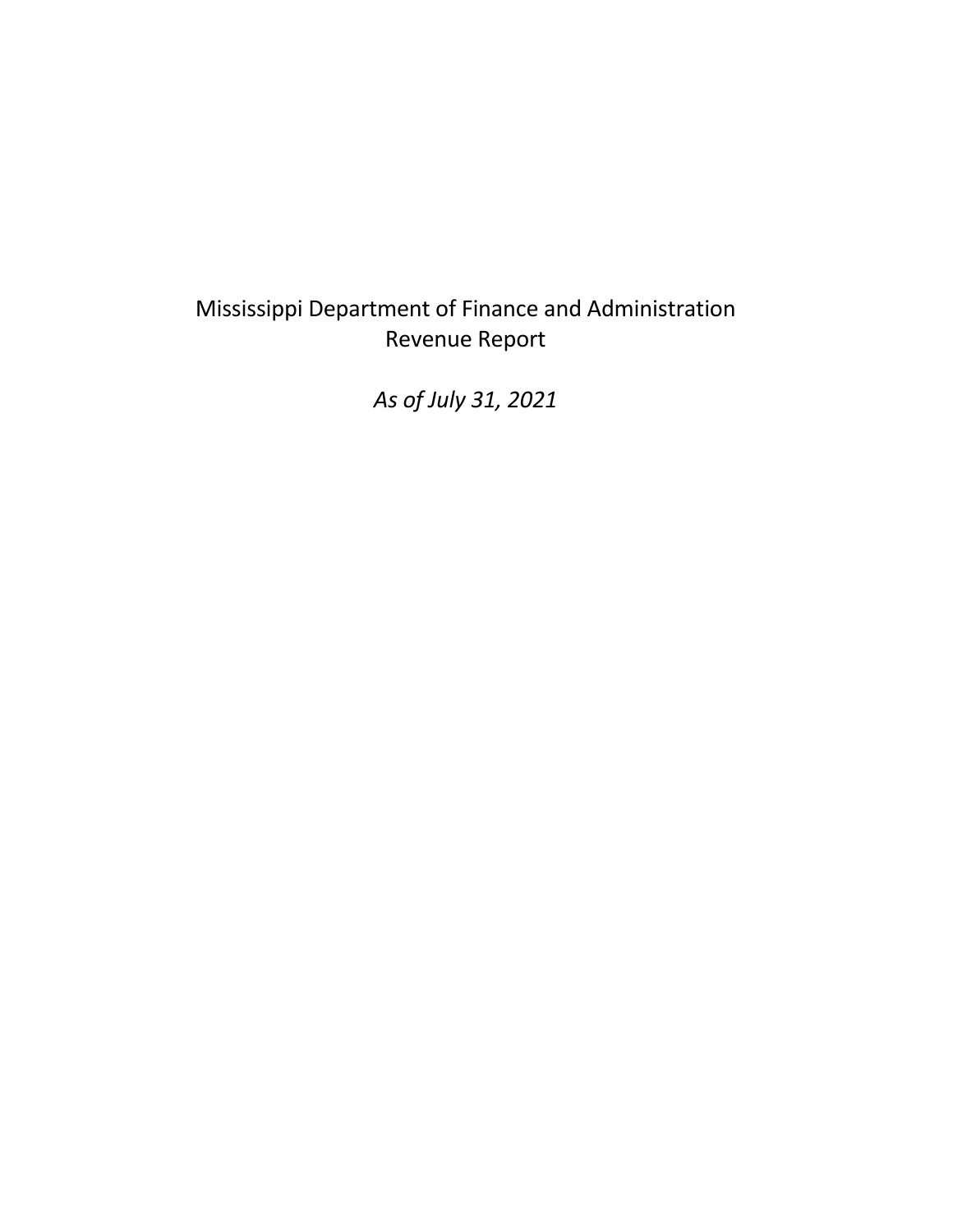# Mississippi Department of Finance and Administration Revenue Report

*As of July 31, 2021*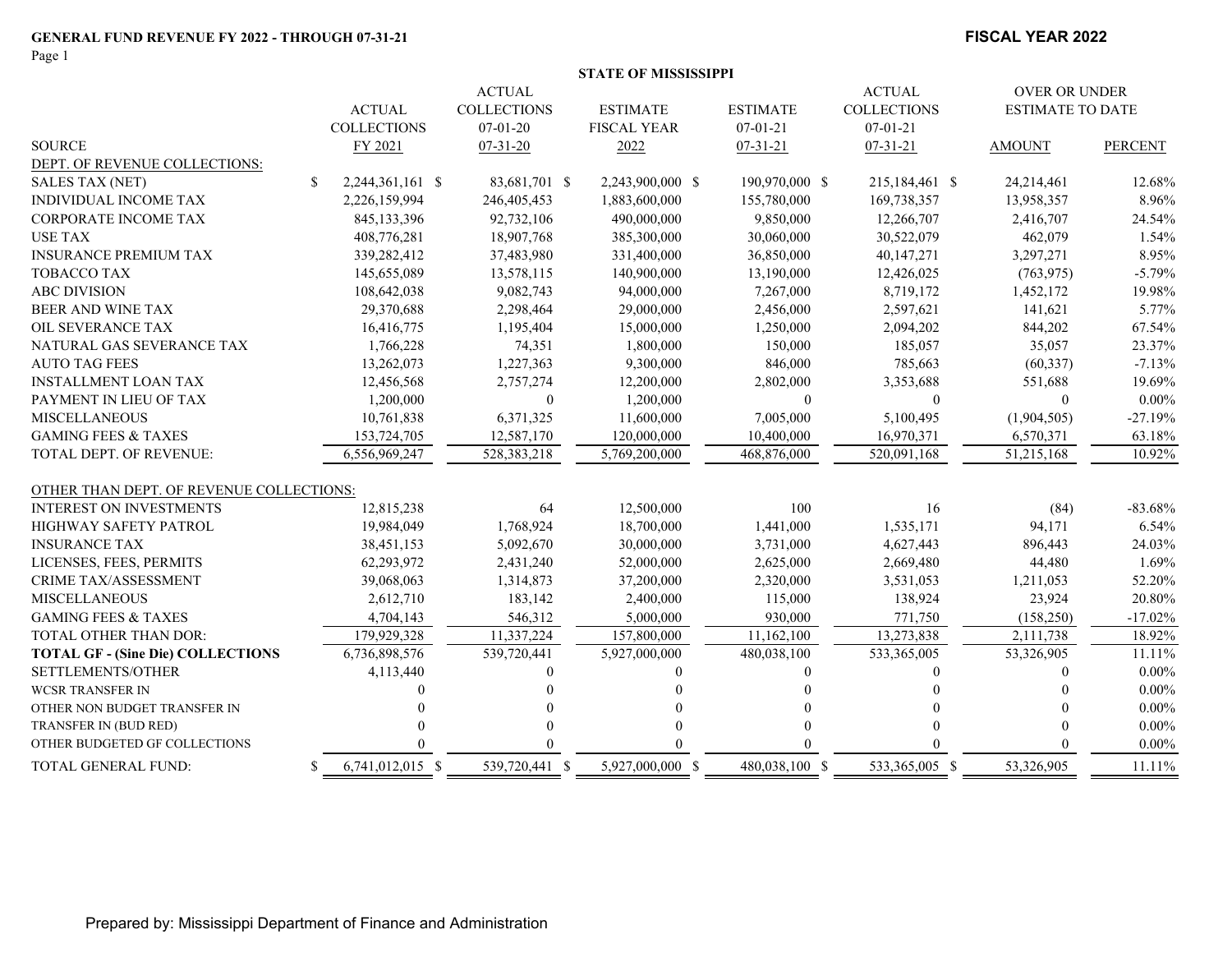Page 1

#### **FISCAL YEAR 2022**

|                                          |               |                    |                    | <b>STATE OF MISSISSIPPI</b> |                 |                    |                         |                |
|------------------------------------------|---------------|--------------------|--------------------|-----------------------------|-----------------|--------------------|-------------------------|----------------|
|                                          |               |                    | <b>ACTUAL</b>      |                             |                 | <b>ACTUAL</b>      | <b>OVER OR UNDER</b>    |                |
|                                          |               | <b>ACTUAL</b>      | <b>COLLECTIONS</b> | <b>ESTIMATE</b>             | <b>ESTIMATE</b> | <b>COLLECTIONS</b> | <b>ESTIMATE TO DATE</b> |                |
|                                          |               | <b>COLLECTIONS</b> | $07-01-20$         | <b>FISCAL YEAR</b>          | $07 - 01 - 21$  | $07 - 01 - 21$     |                         |                |
| <b>SOURCE</b>                            |               | FY 2021            | $07 - 31 - 20$     | 2022                        | $07 - 31 - 21$  | $07 - 31 - 21$     | <b>AMOUNT</b>           | <b>PERCENT</b> |
| DEPT. OF REVENUE COLLECTIONS:            |               |                    |                    |                             |                 |                    |                         |                |
| <b>SALES TAX (NET)</b>                   | <sup>\$</sup> | 2,244,361,161 \$   | 83,681,701 \$      | 2,243,900,000 \$            | 190,970,000 \$  | 215,184,461 \$     | 24,214,461              | 12.68%         |
| <b>INDIVIDUAL INCOME TAX</b>             |               | 2,226,159,994      | 246,405,453        | 1,883,600,000               | 155,780,000     | 169,738,357        | 13,958,357              | 8.96%          |
| <b>CORPORATE INCOME TAX</b>              |               | 845,133,396        | 92,732,106         | 490,000,000                 | 9,850,000       | 12,266,707         | 2,416,707               | 24.54%         |
| <b>USE TAX</b>                           |               | 408,776,281        | 18,907,768         | 385,300,000                 | 30,060,000      | 30,522,079         | 462,079                 | 1.54%          |
| <b>INSURANCE PREMIUM TAX</b>             |               | 339,282,412        | 37,483,980         | 331,400,000                 | 36,850,000      | 40,147,271         | 3,297,271               | 8.95%          |
| <b>TOBACCO TAX</b>                       |               | 145,655,089        | 13,578,115         | 140,900,000                 | 13,190,000      | 12,426,025         | (763, 975)              | $-5.79%$       |
| <b>ABC DIVISION</b>                      |               | 108,642,038        | 9,082,743          | 94,000,000                  | 7,267,000       | 8,719,172          | 1,452,172               | 19.98%         |
| BEER AND WINE TAX                        |               | 29,370,688         | 2,298,464          | 29,000,000                  | 2,456,000       | 2,597,621          | 141,621                 | 5.77%          |
| OIL SEVERANCE TAX                        |               | 16,416,775         | 1,195,404          | 15,000,000                  | 1,250,000       | 2,094,202          | 844,202                 | 67.54%         |
| NATURAL GAS SEVERANCE TAX                |               | 1,766,228          | 74,351             | 1,800,000                   | 150,000         | 185,057            | 35,057                  | 23.37%         |
| <b>AUTO TAG FEES</b>                     |               | 13,262,073         | 1,227,363          | 9,300,000                   | 846,000         | 785,663            | (60, 337)               | $-7.13%$       |
| <b>INSTALLMENT LOAN TAX</b>              |               | 12,456,568         | 2,757,274          | 12,200,000                  | 2,802,000       | 3,353,688          | 551,688                 | 19.69%         |
| PAYMENT IN LIEU OF TAX                   |               | 1,200,000          | $\Omega$           | 1,200,000                   | $\theta$        | $\mathbf{0}$       | $\theta$                | $0.00\%$       |
| <b>MISCELLANEOUS</b>                     |               | 10,761,838         | 6,371,325          | 11,600,000                  | 7,005,000       | 5,100,495          | (1,904,505)             | $-27.19%$      |
| <b>GAMING FEES &amp; TAXES</b>           |               | 153,724,705        | 12,587,170         | 120,000,000                 | 10,400,000      | 16,970,371         | 6,570,371               | 63.18%         |
| <b>TOTAL DEPT. OF REVENUE:</b>           |               | 6,556,969,247      | 528, 383, 218      | 5,769,200,000               | 468,876,000     | 520,091,168        | 51,215,168              | 10.92%         |
| OTHER THAN DEPT. OF REVENUE COLLECTIONS: |               |                    |                    |                             |                 |                    |                         |                |
| <b>INTEREST ON INVESTMENTS</b>           |               | 12,815,238         | 64                 | 12,500,000                  | 100             | 16                 | (84)                    | $-83.68%$      |
| HIGHWAY SAFETY PATROL                    |               | 19,984,049         | 1,768,924          | 18,700,000                  | 1,441,000       | 1,535,171          | 94,171                  | 6.54%          |
| <b>INSURANCE TAX</b>                     |               | 38,451,153         | 5,092,670          | 30,000,000                  | 3,731,000       | 4,627,443          | 896,443                 | 24.03%         |
| LICENSES, FEES, PERMITS                  |               | 62,293,972         | 2,431,240          | 52,000,000                  | 2,625,000       | 2,669,480          | 44,480                  | 1.69%          |
| CRIME TAX/ASSESSMENT                     |               | 39,068,063         | 1,314,873          | 37,200,000                  | 2,320,000       | 3,531,053          | 1,211,053               | 52.20%         |
| <b>MISCELLANEOUS</b>                     |               | 2,612,710          | 183,142            | 2,400,000                   | 115,000         | 138,924            | 23,924                  | 20.80%         |
| <b>GAMING FEES &amp; TAXES</b>           |               | 4,704,143          | 546,312            | 5,000,000                   | 930,000         | 771,750            | (158, 250)              | $-17.02%$      |
| TOTAL OTHER THAN DOR:                    |               | 179,929,328        | 11,337,224         | 157,800,000                 | 11,162,100      | 13,273,838         | 2,111,738               | 18.92%         |
| <b>TOTAL GF - (Sine Die) COLLECTIONS</b> |               | 6,736,898,576      | 539,720,441        | 5,927,000,000               | 480,038,100     | 533,365,005        | 53,326,905              | 11.11%         |
| SETTLEMENTS/OTHER                        |               | 4,113,440          | 0                  | $\Omega$                    | $\Omega$        | $\theta$           | $\theta$                | $0.00\%$       |
| <b>WCSR TRANSFER IN</b>                  |               |                    |                    |                             |                 | $\Omega$           |                         | $0.00\%$       |
| OTHER NON BUDGET TRANSFER IN             |               |                    |                    |                             |                 |                    |                         | $0.00\%$       |
| TRANSFER IN (BUD RED)                    |               |                    | 0                  |                             |                 | $\Omega$           | $\Omega$                | $0.00\%$       |
| OTHER BUDGETED GF COLLECTIONS            |               |                    |                    |                             |                 |                    | $\Omega$                | $0.00\%$       |
| <b>TOTAL GENERAL FUND:</b>               | -S            | 6.741.012.015 \$   | 539,720,441 \$     | 5.927,000,000 \$            | 480.038.100 \$  | 533,365,005 \$     | 53,326,905              | 11.11%         |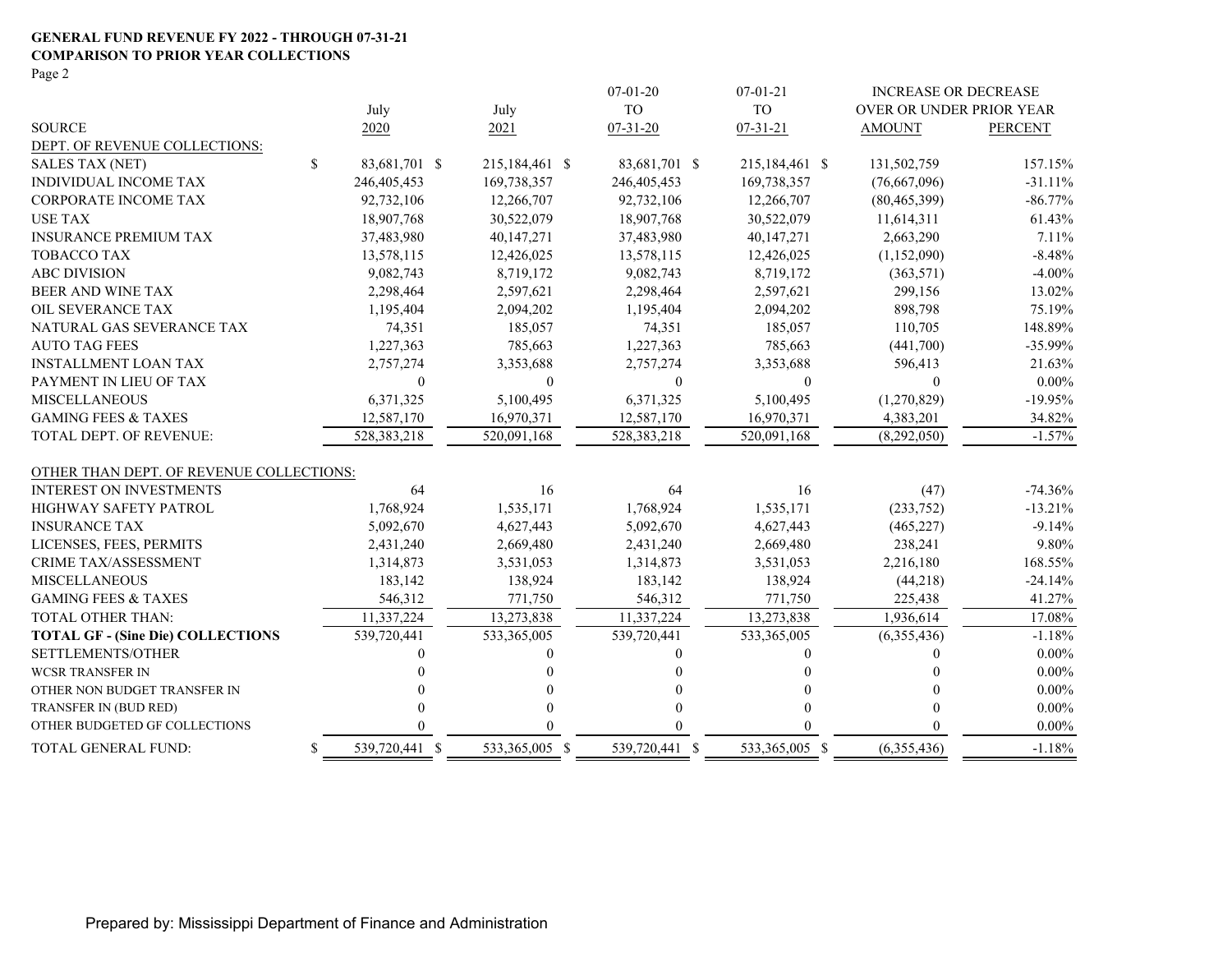#### **GENERAL FUND REVENUE FY 2022 - THROUGH 07-31-21 COMPARISON TO PRIOR YEAR COLLECTIONS**

Page 2

|                                          |                      |                | $07 - 01 - 20$ | $07 - 01 - 21$ | <b>INCREASE OR DECREASE</b> |                |
|------------------------------------------|----------------------|----------------|----------------|----------------|-----------------------------|----------------|
|                                          | July                 | July           | <b>TO</b>      | <b>TO</b>      | OVER OR UNDER PRIOR YEAR    |                |
| <b>SOURCE</b>                            | 2020                 | 2021           | $07 - 31 - 20$ | $07 - 31 - 21$ | <b>AMOUNT</b>               | <b>PERCENT</b> |
| DEPT. OF REVENUE COLLECTIONS:            |                      |                |                |                |                             |                |
| <b>SALES TAX (NET)</b>                   | \$<br>83,681,701 \$  | 215,184,461 \$ | 83,681,701 \$  | 215,184,461 \$ | 131,502,759                 | 157.15%        |
| INDIVIDUAL INCOME TAX                    | 246,405,453          | 169,738,357    | 246, 405, 453  | 169,738,357    | (76,667,096)                | $-31.11%$      |
| <b>CORPORATE INCOME TAX</b>              | 92,732,106           | 12,266,707     | 92,732,106     | 12,266,707     | (80, 465, 399)              | $-86.77%$      |
| <b>USE TAX</b>                           | 18,907,768           | 30,522,079     | 18,907,768     | 30,522,079     | 11,614,311                  | 61.43%         |
| <b>INSURANCE PREMIUM TAX</b>             | 37,483,980           | 40,147,271     | 37,483,980     | 40,147,271     | 2,663,290                   | 7.11%          |
| <b>TOBACCO TAX</b>                       | 13,578,115           | 12,426,025     | 13,578,115     | 12,426,025     | (1,152,090)                 | $-8.48%$       |
| <b>ABC DIVISION</b>                      | 9,082,743            | 8,719,172      | 9,082,743      | 8,719,172      | (363, 571)                  | $-4.00%$       |
| BEER AND WINE TAX                        | 2,298,464            | 2,597,621      | 2,298,464      | 2,597,621      | 299,156                     | 13.02%         |
| OIL SEVERANCE TAX                        | 1,195,404            | 2,094,202      | 1,195,404      | 2,094,202      | 898,798                     | 75.19%         |
| NATURAL GAS SEVERANCE TAX                | 74,351               | 185,057        | 74,351         | 185,057        | 110,705                     | 148.89%        |
| <b>AUTO TAG FEES</b>                     | 1,227,363            | 785,663        | 1,227,363      | 785,663        | (441,700)                   | $-35.99%$      |
| <b>INSTALLMENT LOAN TAX</b>              | 2,757,274            | 3,353,688      | 2,757,274      | 3,353,688      | 596,413                     | 21.63%         |
| PAYMENT IN LIEU OF TAX                   | 0                    | $\mathbf{0}$   | $\mathbf{0}$   | $\Omega$       | $\Omega$                    | $0.00\%$       |
| <b>MISCELLANEOUS</b>                     | 6,371,325            | 5,100,495      | 6,371,325      | 5,100,495      | (1,270,829)                 | $-19.95%$      |
| <b>GAMING FEES &amp; TAXES</b>           | 12,587,170           | 16,970,371     | 12,587,170     | 16,970,371     | 4,383,201                   | 34.82%         |
| TOTAL DEPT. OF REVENUE:                  | 528,383,218          | 520,091,168    | 528,383,218    | 520,091,168    | (8,292,050)                 | $-1.57%$       |
| OTHER THAN DEPT. OF REVENUE COLLECTIONS: |                      |                |                |                |                             |                |
| <b>INTEREST ON INVESTMENTS</b>           | 64                   | 16             | 64             | 16             | (47)                        | $-74.36%$      |
| HIGHWAY SAFETY PATROL                    | 1,768,924            | 1,535,171      | 1,768,924      | 1,535,171      | (233,752)                   | $-13.21%$      |
| <b>INSURANCE TAX</b>                     | 5,092,670            | 4,627,443      | 5,092,670      | 4,627,443      | (465, 227)                  | $-9.14%$       |
| LICENSES, FEES, PERMITS                  | 2,431,240            | 2,669,480      | 2,431,240      | 2,669,480      | 238,241                     | 9.80%          |
| <b>CRIME TAX/ASSESSMENT</b>              | 1,314,873            | 3,531,053      | 1,314,873      | 3,531,053      | 2,216,180                   | 168.55%        |
| <b>MISCELLANEOUS</b>                     | 183,142              | 138,924        | 183,142        | 138,924        | (44,218)                    | $-24.14%$      |
| <b>GAMING FEES &amp; TAXES</b>           | 546,312              | 771,750        | 546,312        | 771,750        | 225,438                     | 41.27%         |
| <b>TOTAL OTHER THAN:</b>                 | 11,337,224           | 13,273,838     | 11,337,224     | 13,273,838     | 1,936,614                   | 17.08%         |
| <b>TOTAL GF - (Sine Die) COLLECTIONS</b> | 539,720,441          | 533,365,005    | 539,720,441    | 533,365,005    | (6,355,436)                 | $-1.18%$       |
| SETTLEMENTS/OTHER                        | 0                    | $\Omega$       |                | $\theta$       | $\Omega$                    | $0.00\%$       |
| <b>WCSR TRANSFER IN</b>                  | 0                    |                |                | 0              |                             | $0.00\%$       |
| OTHER NON BUDGET TRANSFER IN             |                      |                |                | 0              | $\Omega$                    | $0.00\%$       |
| TRANSFER IN (BUD RED)                    | 0                    |                |                | $\Omega$       |                             | $0.00\%$       |
| OTHER BUDGETED GF COLLECTIONS            |                      |                |                | 0              |                             | $0.00\%$       |
| TOTAL GENERAL FUND:                      | \$<br>539,720,441 \$ | 533,365,005 \$ | 539,720,441 \$ | 533,365,005 \$ | (6,355,436)                 | $-1.18%$       |